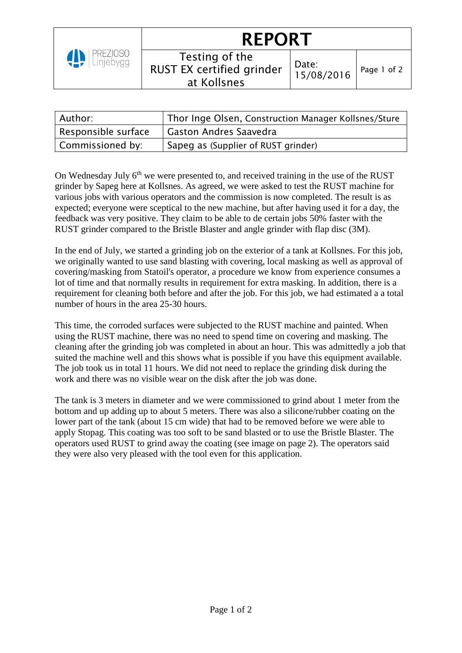

## **REPORT**

| Testing of the<br>RUST EX certified grinder<br>at Kollsnes | $\begin{array}{c} \big  \text{Date:} \\ 15/08/2 \end{array}$ |
|------------------------------------------------------------|--------------------------------------------------------------|
|------------------------------------------------------------|--------------------------------------------------------------|

| Author:             | Thor Inge Olsen, Construction Manager Kollsnes/Sture |
|---------------------|------------------------------------------------------|
| Responsible surface | <b>Gaston Andres Saavedra</b>                        |
| Commissioned by:    | Sapeg as (Supplier of RUST grinder)                  |

On Wednesday July  $6<sup>th</sup>$  we were presented to, and received training in the use of the RUST grinder by Sapeg here at Kollsnes. As agreed, we were asked to test the RUST machine for various jobs with various operators and the commission is now completed. The result is as expected; everyone were sceptical to the new machine, but after having used it for a day, the feedback was very positive. They claim to be able to de certain jobs 50% faster with the RUST grinder compared to the Bristle Blaster and angle grinder with flap disc (3M).

In the end of July, we started a grinding job on the exterior of a tank at Kollsnes. For this job, we originally wanted to use sand blasting with covering, local masking as well as approval of covering/masking from Statoil's operator, a procedure we know from experience consumes a lot of time and that normally results in requirement for extra masking. In addition, there is a requirement for cleaning both before and after the job. For this job, we had estimated a a total number of hours in the area 25-30 hours.

This time, the corroded surfaces were subjected to the RUST machine and painted. When using the RUST machine, there was no need to spend time on covering and masking. The cleaning after the grinding job was completed in about an hour. This was admittedly a job that suited the machine well and this shows what is possible if you have this equipment available. The job took us in total 11 hours. We did not need to replace the grinding disk during the work and there was no visible wear on the disk after the job was done.

The tank is 3 meters in diameter and we were commissioned to grind about 1 meter from the bottom and up adding up to about 5 meters. There was also a silicone/rubber coating on the lower part of the tank (about 15 cm wide) that had to be removed before we were able to apply Stopag. This coating was too soft to be sand blasted or to use the Bristle Blaster. The operators used RUST to grind away the coating (see image on page 2). The operators said they were also very pleased with the tool even for this application.